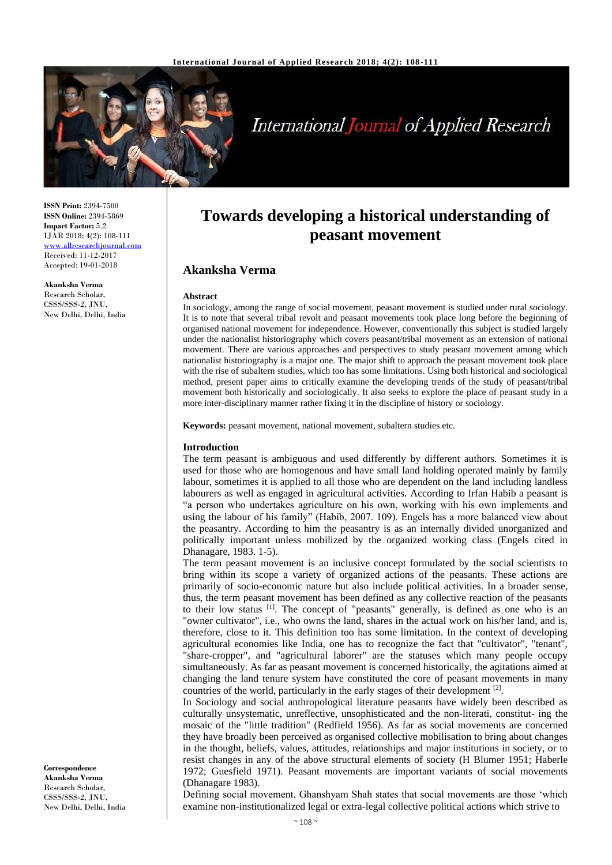

# **International Journal of Applied Research**

**ISSN Print:** 2394-7500 **ISSN Online:** 2394-5869 **Impact Factor:** 5.2 IJAR 2018; 4(2): 108-111 <www.allresearchjournal.com> Received: 11-12-2017 Accepted: 19-01-2018

**Akanksha Verma** Research Scholar, CSSS/SSS-2, JNU, New Delhi, Delhi, India **Towards developing a historical understanding of peasant movement**

## **Akanksha Verma**

#### **Abstract**

In sociology, among the range of social movement, peasant movement is studied under rural sociology. It is to note that several tribal revolt and peasant movements took place long before the beginning of organised national movement for independence. However, conventionally this subject is studied largely under the nationalist historiography which covers peasant/tribal movement as an extension of national movement. There are various approaches and perspectives to study peasant movement among which nationalist historiography is a major one. The major shift to approach the peasant movement took place with the rise of subaltern studies, which too has some limitations. Using both historical and sociological method, present paper aims to critically examine the developing trends of the study of peasant/tribal movement both historically and sociologically. It also seeks to explore the place of peasant study in a more inter-disciplinary manner rather fixing it in the discipline of history or sociology.

**Keywords:** peasant movement, national movement, subaltern studies etc.

#### **Introduction**

The term peasant is ambiguous and used differently by different authors. Sometimes it is used for those who are homogenous and have small land holding operated mainly by family labour, sometimes it is applied to all those who are dependent on the land including landless labourers as well as engaged in agricultural activities. According to Irfan Habib a peasant is "a person who undertakes agriculture on his own, working with his own implements and using the labour of his family" (Habib, 2007. 109). Engels has a more balanced view about the peasantry. According to him the peasantry is as an internally divided unorganized and politically important unless mobilized by the organized working class (Engels cited in Dhanagare, 1983. 1-5).

The term peasant movement is an inclusive concept formulated by the social scientists to bring within its scope a variety of organized actions of the peasants. These actions are primarily of socio-economic nature but also include political activities. In a broader sense, thus, the term peasant movement has been defined as any collective reaction of the peasants to their low status [1]. The concept of "peasants" generally, is defined as one who is an "owner cultivator", i.e., who owns the land, shares in the actual work on his/her land, and is, therefore, close to it. This definition too has some limitation. In the context of developing agricultural economies like India, one has to recognize the fact that "cultivator", "tenant", "share-cropper", and "agricultural laborer" are the statuses which many people occupy simultaneously. As far as peasant movement is concerned historically, the agitations aimed at changing the land tenure system have constituted the core of peasant movements in many countries of the world, particularly in the early stages of their development<sup>[2]</sup>.

In Sociology and social anthropological literature peasants have widely been described as culturally unsystematic, unreflective, unsophisticated and the non-literati, constitut- ing the mosaic of the "little tradition" (Redfield 1956). As far as social movements are concerned they have broadly been perceived as organised collective mobilisation to bring about changes in the thought, beliefs, values, attitudes, relationships and major institutions in society, or to resist changes in any of the above structural elements of society (H Blumer 1951; Haberle 1972; Guesfield 1971). Peasant movements are important variants of social movements (Dhanagare 1983).

Defining social movement, Ghanshyam Shah states that social movements are those 'which examine non-institutionalized legal or extra-legal collective political actions which strive to

**Correspondence Akanksha Verma** Research Scholar, CSSS/SSS-2, JNU, New Delhi, Delhi, India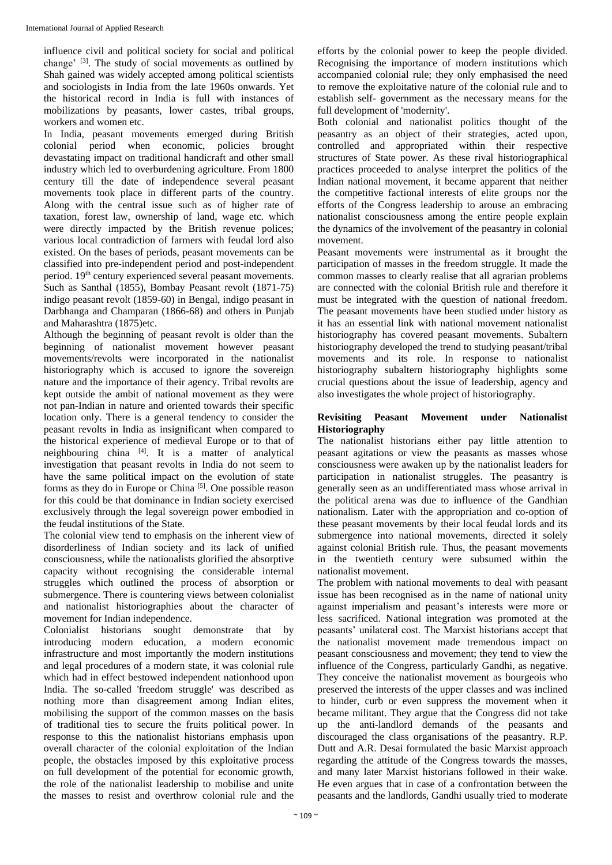influence civil and political society for social and political change'  $[3]$ . The study of social movements as outlined by Shah gained was widely accepted among political scientists and sociologists in India from the late 1960s onwards. Yet the historical record in India is full with instances of mobilizations by peasants, lower castes, tribal groups, workers and women etc.

In India, peasant movements emerged during British colonial period when economic, policies brought devastating impact on traditional handicraft and other small industry which led to overburdening agriculture. From 1800 century till the date of independence several peasant movements took place in different parts of the country. Along with the central issue such as of higher rate of taxation, forest law, ownership of land, wage etc. which were directly impacted by the British revenue polices; various local contradiction of farmers with feudal lord also existed. On the bases of periods, peasant movements can be classified into pre-independent period and post-independent period. 19<sup>th</sup> century experienced several peasant movements. Such as Santhal (1855), Bombay Peasant revolt (1871-75) indigo peasant revolt (1859-60) in Bengal, indigo peasant in Darbhanga and Champaran (1866-68) and others in Punjab and Maharashtra (1875)etc.

Although the beginning of peasant revolt is older than the beginning of nationalist movement however peasant movements/revolts were incorporated in the nationalist historiography which is accused to ignore the sovereign nature and the importance of their agency. Tribal revolts are kept outside the ambit of national movement as they were not pan-Indian in nature and oriented towards their specific location only. There is a general tendency to consider the peasant revolts in India as insignificant when compared to the historical experience of medieval Europe or to that of neighbouring china [4] . It is a matter of analytical investigation that peasant revolts in India do not seem to have the same political impact on the evolution of state forms as they do in Europe or China<sup>[5]</sup>. One possible reason for this could be that dominance in Indian society exercised exclusively through the legal sovereign power embodied in the feudal institutions of the State.

The colonial view tend to emphasis on the inherent view of disorderliness of Indian society and its lack of unified consciousness, while the nationalists glorified the absorptive capacity without recognising the considerable internal struggles which outlined the process of absorption or submergence. There is countering views between colonialist and nationalist historiographies about the character of movement for Indian independence.

Colonialist historians sought demonstrate that by introducing modern education, a modern economic infrastructure and most importantly the modern institutions and legal procedures of a modern state, it was colonial rule which had in effect bestowed independent nationhood upon India. The so-called 'freedom struggle' was described as nothing more than disagreement among Indian elites, mobilising the support of the common masses on the basis of traditional ties to secure the fruits political power. In response to this the nationalist historians emphasis upon overall character of the colonial exploitation of the Indian people, the obstacles imposed by this exploitative process on full development of the potential for economic growth, the role of the nationalist leadership to mobilise and unite the masses to resist and overthrow colonial rule and the efforts by the colonial power to keep the people divided. Recognising the importance of modern institutions which accompanied colonial rule; they only emphasised the need to remove the exploitative nature of the colonial rule and to establish self- government as the necessary means for the full development of 'modernity'.

Both colonial and nationalist politics thought of the peasantry as an object of their strategies, acted upon, controlled and appropriated within their respective structures of State power. As these rival historiographical practices proceeded to analyse interpret the politics of the Indian national movement, it became apparent that neither the competitive factional interests of elite groups nor the efforts of the Congress leadership to arouse an embracing nationalist consciousness among the entire people explain the dynamics of the involvement of the peasantry in colonial movement.

Peasant movements were instrumental as it brought the participation of masses in the freedom struggle. It made the common masses to clearly realise that all agrarian problems are connected with the colonial British rule and therefore it must be integrated with the question of national freedom. The peasant movements have been studied under history as it has an essential link with national movement nationalist historiography has covered peasant movements. Subaltern historiography developed the trend to studying peasant/tribal movements and its role. In response to nationalist historiography subaltern historiography highlights some crucial questions about the issue of leadership, agency and also investigates the whole project of historiography.

## **Revisiting Peasant Movement under Nationalist Historiography**

The nationalist historians either pay little attention to peasant agitations or view the peasants as masses whose consciousness were awaken up by the nationalist leaders for participation in nationalist struggles. The peasantry is generally seen as an undifferentiated mass whose arrival in the political arena was due to influence of the Gandhian nationalism. Later with the appropriation and co-option of these peasant movements by their local feudal lords and its submergence into national movements, directed it solely against colonial British rule. Thus, the peasant movements in the twentieth century were subsumed within the nationalist movement.

The problem with national movements to deal with peasant issue has been recognised as in the name of national unity against imperialism and peasant's interests were more or less sacrificed. National integration was promoted at the peasants' unilateral cost. The Marxist historians accept that the nationalist movement made tremendous impact on peasant consciousness and movement; they tend to view the influence of the Congress, particularly Gandhi, as negative. They conceive the nationalist movement as bourgeois who preserved the interests of the upper classes and was inclined to hinder, curb or even suppress the movement when it became militant. They argue that the Congress did not take up the anti-landlord demands of the peasants and discouraged the class organisations of the peasantry. R.P. Dutt and A.R. Desai formulated the basic Marxist approach regarding the attitude of the Congress towards the masses, and many later Marxist historians followed in their wake. He even argues that in case of a confrontation between the peasants and the landlords, Gandhi usually tried to moderate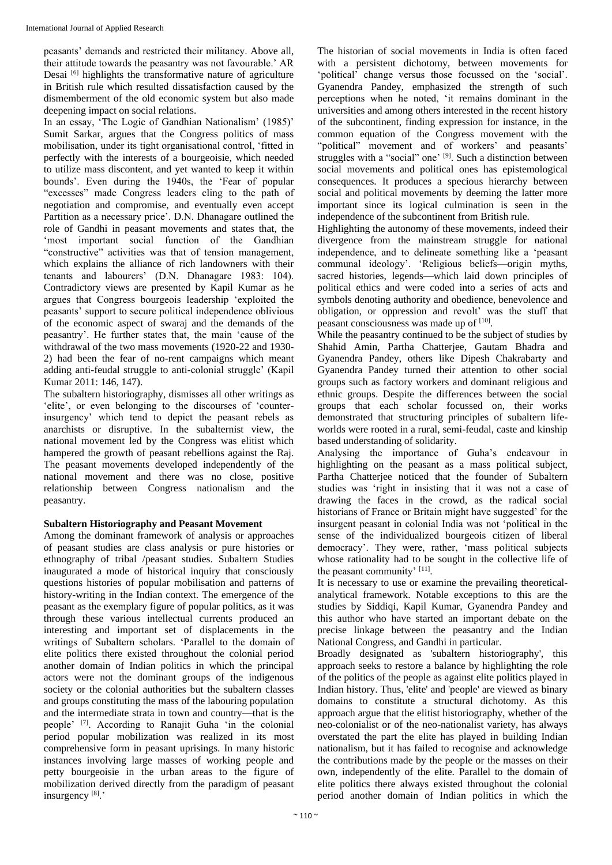peasants' demands and restricted their militancy. Above all, their attitude towards the peasantry was not favourable.' AR Desai  $[6]$  highlights the transformative nature of agriculture in British rule which resulted dissatisfaction caused by the dismemberment of the old economic system but also made deepening impact on social relations.

In an essay, 'The Logic of Gandhian Nationalism' (1985)' Sumit Sarkar, argues that the Congress politics of mass mobilisation, under its tight organisational control, 'fitted in perfectly with the interests of a bourgeoisie, which needed to utilize mass discontent, and yet wanted to keep it within bounds'. Even during the 1940s, the 'Fear of popular "excesses" made Congress leaders cling to the path of negotiation and compromise, and eventually even accept Partition as a necessary price'. D.N. Dhanagare outlined the role of Gandhi in peasant movements and states that, the 'most important social function of the Gandhian "constructive" activities was that of tension management, which explains the alliance of rich landowners with their tenants and labourers' (D.N. Dhanagare 1983: 104). Contradictory views are presented by Kapil Kumar as he argues that Congress bourgeois leadership 'exploited the peasants' support to secure political independence oblivious of the economic aspect of swaraj and the demands of the peasantry'. He further states that, the main 'cause of the withdrawal of the two mass movements (1920-22 and 1930- 2) had been the fear of no-rent campaigns which meant adding anti-feudal struggle to anti-colonial struggle' (Kapil Kumar 2011: 146, 147).

The subaltern historiography, dismisses all other writings as 'elite', or even belonging to the discourses of 'counterinsurgency' which tend to depict the peasant rebels as anarchists or disruptive. In the subalternist view, the national movement led by the Congress was elitist which hampered the growth of peasant rebellions against the Raj. The peasant movements developed independently of the national movement and there was no close, positive relationship between Congress nationalism and the peasantry.

## **Subaltern Historiography and Peasant Movement**

Among the dominant framework of analysis or approaches of peasant studies are class analysis or pure histories or ethnography of tribal /peasant studies. Subaltern Studies inaugurated a mode of historical inquiry that consciously questions histories of popular mobilisation and patterns of history-writing in the Indian context. The emergence of the peasant as the exemplary figure of popular politics, as it was through these various intellectual currents produced an interesting and important set of displacements in the writings of Subaltern scholars. 'Parallel to the domain of elite politics there existed throughout the colonial period another domain of Indian politics in which the principal actors were not the dominant groups of the indigenous society or the colonial authorities but the subaltern classes and groups constituting the mass of the labouring population and the intermediate strata in town and country—that is the people' <sup>[7]</sup>. According to Ranajit Guha 'in the colonial period popular mobilization was realized in its most comprehensive form in peasant uprisings. In many historic instances involving large masses of working people and petty bourgeoisie in the urban areas to the figure of mobilization derived directly from the paradigm of peasant insurgency<sup>[8]</sup>.'

The historian of social movements in India is often faced with a persistent dichotomy, between movements for 'political' change versus those focussed on the 'social'. Gyanendra Pandey, emphasized the strength of such perceptions when he noted, 'it remains dominant in the universities and among others interested in the recent history of the subcontinent, finding expression for instance, in the common equation of the Congress movement with the "political" movement and of workers' and peasants' struggles with a "social" one' <sup>[9]</sup>. Such a distinction between social movements and political ones has epistemological consequences. It produces a specious hierarchy between social and political movements by deeming the latter more important since its logical culmination is seen in the independence of the subcontinent from British rule.

Highlighting the autonomy of these movements, indeed their divergence from the mainstream struggle for national independence, and to delineate something like a 'peasant communal ideology'. 'Religious beliefs—origin myths, sacred histories, legends—which laid down principles of political ethics and were coded into a series of acts and symbols denoting authority and obedience, benevolence and obligation, or oppression and revolt' was the stuff that peasant consciousness was made up of [10].

While the peasantry continued to be the subject of studies by Shahid Amin, Partha Chatterjee, Gautam Bhadra and Gyanendra Pandey, others like Dipesh Chakrabarty and Gyanendra Pandey turned their attention to other social groups such as factory workers and dominant religious and ethnic groups. Despite the differences between the social groups that each scholar focussed on, their works demonstrated that structuring principles of subaltern lifeworlds were rooted in a rural, semi-feudal, caste and kinship based understanding of solidarity.

Analysing the importance of Guha's endeavour in highlighting on the peasant as a mass political subject, Partha Chatterjee noticed that the founder of Subaltern studies was 'right in insisting that it was not a case of drawing the faces in the crowd, as the radical social historians of France or Britain might have suggested' for the insurgent peasant in colonial India was not 'political in the sense of the individualized bourgeois citizen of liberal democracy'. They were, rather, 'mass political subjects whose rationality had to be sought in the collective life of the peasant community' [11].

It is necessary to use or examine the prevailing theoreticalanalytical framework. Notable exceptions to this are the studies by Siddiqi, Kapil Kumar, Gyanendra Pandey and this author who have started an important debate on the precise linkage between the peasantry and the Indian National Congress, and Gandhi in particular.

Broadly designated as 'subaltern historiography', this approach seeks to restore a balance by highlighting the role of the politics of the people as against elite politics played in Indian history. Thus, 'elite' and 'people' are viewed as binary domains to constitute a structural dichotomy. As this approach argue that the elitist historiography, whether of the neo-colonialist or of the neo-nationalist variety, has always overstated the part the elite has played in building Indian nationalism, but it has failed to recognise and acknowledge the contributions made by the people or the masses on their own, independently of the elite. Parallel to the domain of elite politics there always existed throughout the colonial period another domain of Indian politics in which the